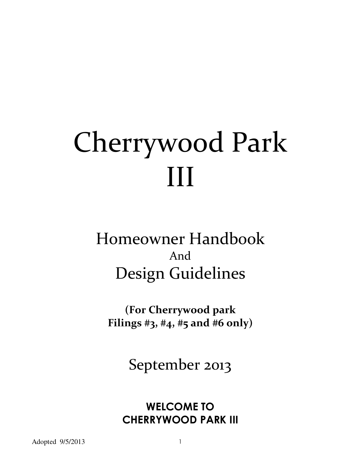# Cherrywood Park III

# Homeowner Handbook And Design Guidelines

**(For Cherrywood park Filings #3, #4, #5 and #6 only)** 

September 2013

# **WELCOME TO CHERRYWOOD PARK III**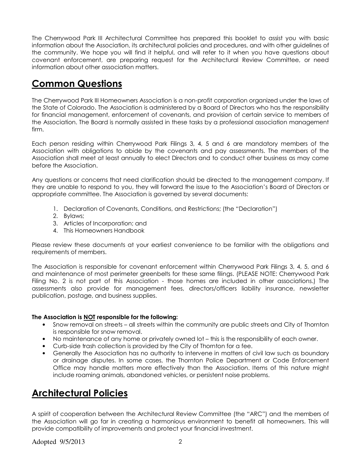The Cherrywood Park III Architectural Committee has prepared this booklet to assist you with basic information about the Association, its architectural policies and procedures, and with other guidelines of the community. We hope you will find it helpful, and will refer to it when you have questions about covenant enforcement, are preparing request for the Architectural Review Committee, or need information about other association matters.

#### **Common Questions**

The Cherrywood Park III Homeowners Association is a non-profit corporation organized under the laws of the State of Colorado. The Association is administered by a Board of Directors who has the responsibility for financial management, enforcement of covenants, and provision of certain service to members of the Association. The Board is normally assisted in these tasks by a professional association management firm.

Each person residing within Cherrywood Park Filings 3, 4, 5 and 6 are mandatory members of the Association with obligations to abide by the covenants and pay assessments. The members of the Association shall meet at least annually to elect Directors and to conduct other business as may come before the Association.

Any questions or concerns that need clarification should be directed to the management company. If they are unable to respond to you, they will forward the issue to the Association's Board of Directors or appropriate committee. The Association is governed by several documents:

- 1. Declaration of Covenants, Conditions, and Restrictions; (the "Declaration")
- 2. Bylaws;
- 3. Articles of Incorporation; and
- 4. This Homeowners Handbook

Please review these documents at your earliest convenience to be familiar with the obligations and requirements of members.

The Association is responsible for covenant enforcement within Cherrywood Park Filings 3, 4, 5, and 6 and maintenance of most perimeter greenbelts for these same filings. (PLEASE NOTE: Cherrywood Park Filing No. 2 is not part of this Association - those homes are included in other associations.) The assessments also provide for management fees, directors/officers liability insurance, newsletter publication, postage, and business supplies.

#### **The Association is NOT responsible for the following:**

- Snow removal on streets all streets within the community are public streets and City of Thornton is responsible for snow removal.
- No maintenance of any home or privately owned lot this is the responsibility of each owner.
- Curb-side trash collection is provided by the City of Thornton for a fee.
- Generally the Association has no authority to intervene in matters of civil law such as boundary or drainage disputes. In some cases, the Thornton Police Department or Code Enforcement Office may handle matters more effectively than the Association. Items of this nature might include roaming animals, abandoned vehicles, or persistent noise problems.

#### **Architectural Policies**

A spirit of cooperation between the Architectural Review Committee (the "ARC") and the members of the Association will go far in creating a harmonious environment to benefit all homeowners. This will provide compatibility of improvements and protect your financial investment.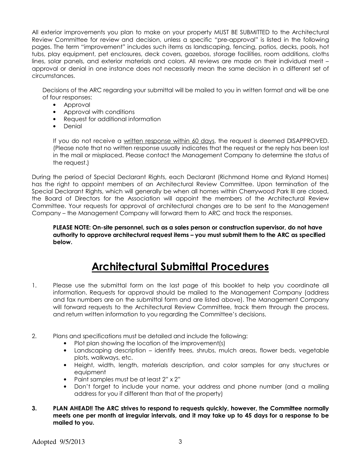All exterior improvements you plan to make on your property MUST BE SUBMITTED to the Architectural Review Committee for review and decision, unless a specific "pre-approval" is listed in the following pages. The term "improvement" includes such items as landscaping, fencing, patios, decks, pools, hot tubs, play equipment, pet enclosures, deck covers, gazebos, storage facilities, room additions, cloths lines, solar panels, and exterior materials and colors. All reviews are made on their individual merit – approval or denial in one instance does not necessarily mean the same decision in a different set of circumstances.

Decisions of the ARC regarding your submittal will be mailed to you in written format and will be one of four responses:

- Approval
- Approval with conditions
- Request for additional information
- Denial

If you do not receive a written response within 60 days, the request is deemed DISAPPROVED. (Please note that no written response usually indicates that the request or the reply has been lost in the mail or misplaced. Please contact the Management Company to determine the status of the request.)

During the period of Special Declarant Rights, each Declarant (Richmond Home and Ryland Homes) has the right to appoint members of an Architectural Review Committee. Upon termination of the Special Declarant Rights, which will generally be when all homes within Cherrywood Park III are closed, the Board of Directors for the Association will appoint the members of the Architectural Review Committee. Your requests for approval of architectural changes are to be sent to the Management Company – the Management Company will forward them to ARC and track the responses.

**PLEASE NOTE: On-site personnel, such as a sales person or construction supervisor, do not have authority to approve architectural request items – you must submit them to the ARC as specified below.** 

## **Architectural Submittal Procedures**

- 1. Please use the submittal form on the last page of this booklet to help you coordinate all information. Requests for approval should be mailed to the Management Company (address and fax numbers are on the submittal form and are listed above). The Management Company will forward requests to the Architectural Review Committee, track them through the process, and return written information to you regarding the Committee's decisions.
- 2. Plans and specifications must be detailed and include the following:
	- Plot plan showing the location of the improvement(s)
	- Landscaping description identify trees, shrubs, mulch areas, flower beds, vegetable plots, walkways, etc.
	- Height, width, length, materials description, and color samples for any structures or equipment
	- Paint samples must be at least 2" x 2"
	- Don't forget to include your name, your address and phone number (and a mailing address for you if different than that of the property)
- **3. PLAN AHEAD!! The ARC strives to respond to requests quickly, however, the Committee normally meets one per month at irregular intervals, and it may take up to 45 days for a response to be mailed to you.**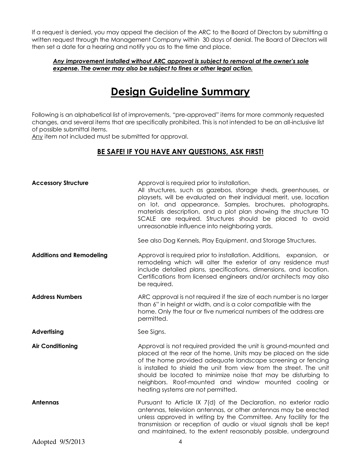If a request is denied, you may appeal the decision of the ARC to the Board of Directors by submitting a written request through the Management Company within 30 days of denial. The Board of Directors will then set a date for a hearing and notify you as to the time and place.

#### *Any improvement installed without ARC approval is subject to removal at the owner's sole expense. The owner may also be subject to fines or other legal action.*

### **Design Guideline Summary**

Following is an alphabetical list of improvements, "pre-approved" items for more commonly requested changes, and several items that are specifically prohibited. This is not intended to be an all-inclusive list of possible submittal items.

Any item not included must be submitted for approval.

#### **BE SAFE! IF YOU HAVE ANY QUESTIONS, ASK FIRST!**

| <b>Accessory Structure</b>            | Approval is required prior to installation.<br>All structures, such as gazebos, storage sheds, greenhouses, or<br>playsets, will be evaluated on their individual merit, use, location<br>on lot, and appearance. Samples, brochures, photographs,<br>materials description, and a plot plan showing the structure TO<br>SCALE are required. Structures should be placed to avoid<br>unreasonable influence into neighboring yards.<br>See also Dog Kennels, Play Equipment, and Storage Structures. |
|---------------------------------------|------------------------------------------------------------------------------------------------------------------------------------------------------------------------------------------------------------------------------------------------------------------------------------------------------------------------------------------------------------------------------------------------------------------------------------------------------------------------------------------------------|
| <b>Additions and Remodeling</b>       | Approval is required prior to installation. Additions, expansion, or                                                                                                                                                                                                                                                                                                                                                                                                                                 |
|                                       | remodeling which will alter the exterior of any residence must<br>include detailed plans, specifications, dimensions, and location.<br>Certifications from licensed engineers and/or architects may also<br>be required.                                                                                                                                                                                                                                                                             |
| <b>Address Numbers</b>                | ARC approval is not required if the size of each number is no larger<br>than 6" in height or width, and is a color compatible with the<br>home. Only the four or five numerical numbers of the address are<br>permitted.                                                                                                                                                                                                                                                                             |
| <b>Advertising</b>                    | See Signs.                                                                                                                                                                                                                                                                                                                                                                                                                                                                                           |
| <b>Air Conditioning</b>               | Approval is not required provided the unit is ground-mounted and<br>placed at the rear of the home. Units may be placed on the side<br>of the home provided adequate landscape screening or fencing<br>is installed to shield the unit from view from the street. The unit<br>should be located to minimize noise that may be disturbing to<br>neighbors. Roof-mounted and window mounted cooling or<br>heating systems are not permitted.                                                           |
| Antennas                              | Pursuant to Article IX 7(d) of the Declaration, no exterior radio<br>antennas, television antennas, or other antennas may be erected<br>unless approved in writing by the Committee. Any facility for the<br>transmission or reception of audio or visual signals shall be kept<br>and maintained, to the extent reasonably possible, underground                                                                                                                                                    |
| $\Lambda$ Joseph J $\Lambda$ IS 10010 |                                                                                                                                                                                                                                                                                                                                                                                                                                                                                                      |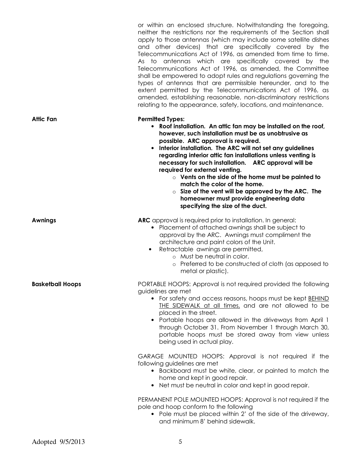|                         | or within an enclosed structure. Notwithstanding the foregoing,<br>neither the restrictions nor the requirements of the Section shall<br>apply to those antennas (which may include some satellite dishes<br>and other devices) that are specifically covered by the<br>Telecommunications Act of 1996, as amended from time to time.<br>As to antennas which are specifically covered by the<br>Telecommunications Act of 1996, as amended, the Committee<br>shall be empowered to adopt rules and regulations governing the<br>types of antennas that are permissible hereunder, and to the<br>extent permitted by the Telecommunications Act of 1996, as<br>amended, establishing reasonable, non-discriminatory restrictions<br>relating to the appearance, safety, locations, and maintenance. |
|-------------------------|-----------------------------------------------------------------------------------------------------------------------------------------------------------------------------------------------------------------------------------------------------------------------------------------------------------------------------------------------------------------------------------------------------------------------------------------------------------------------------------------------------------------------------------------------------------------------------------------------------------------------------------------------------------------------------------------------------------------------------------------------------------------------------------------------------|
| Attic Fan               | <b>Permitted Types:</b><br>• Roof installation. An attic fan may be installed on the roof,<br>however, such installation must be as unobtrusive as<br>possible. ARC approval is required.<br>• Interior installation. The ARC will not set any guidelines<br>regarding interior attic fan installations unless venting is<br>necessary for such installation. ARC approval will be<br>required for external venting.<br>$\circ$ Vents on the side of the home must be painted to<br>match the color of the home.<br>$\circ$ Size of the vent will be approved by the ARC. The<br>homeowner must provide engineering data<br>specifying the size of the duct.                                                                                                                                        |
| <b>Awnings</b>          | <b>ARC</b> approval is required prior to installation. In general:<br>• Placement of attached awnings shall be subject to<br>approval by the ARC. Awnings must compliment the<br>architecture and paint colors of the Unit.<br>Retractable awnings are permitted,<br>$\bullet$<br>o Must be neutral in color.<br>o Preferred to be constructed of cloth (as apposed to<br>metal or plastic).                                                                                                                                                                                                                                                                                                                                                                                                        |
| <b>Basketball Hoops</b> | PORTABLE HOOPS: Approval is not required provided the following<br>guidelines are met<br>• For safety and access reasons, hoops must be kept <b>BEHIND</b><br>THE SIDEWALK at all times, and are not allowed to be<br>placed in the street.<br>• Portable hoops are allowed in the driveways from April 1<br>through October 31. From November 1 through March 30,<br>portable hoops must be stored away from view unless<br>being used in actual play.                                                                                                                                                                                                                                                                                                                                             |
|                         | GARAGE MOUNTED HOOPS: Approval is not required if the<br>following guidelines are met<br>• Backboard must be white, clear, or painted to match the<br>home and kept in good repair.<br>• Net must be neutral in color and kept in good repair.                                                                                                                                                                                                                                                                                                                                                                                                                                                                                                                                                      |
|                         | PERMANENT POLE MOUNTED HOOPS: Approval is not required if the<br>pole and hoop conform to the following<br>• Pole must be placed within 2' of the side of the driveway,<br>and minimum 8' behind sidewalk.                                                                                                                                                                                                                                                                                                                                                                                                                                                                                                                                                                                          |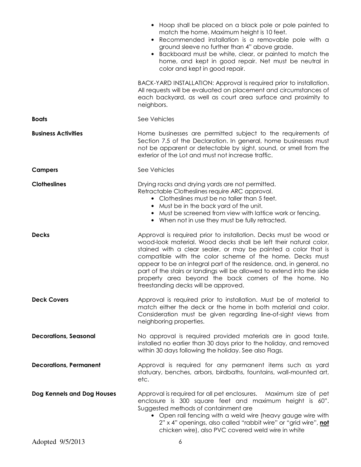|                               | • Hoop shall be placed on a black pole or pole painted to<br>match the home. Maximum height is 10 feet.<br>Recommended installation is a removable pole with a<br>ground sleeve no further than 4" above grade.<br>Backboard must be white, clear, or painted to match the<br>home, and kept in good repair. Net must be neutral in<br>color and kept in good repair.                                                                                                                                                  |
|-------------------------------|------------------------------------------------------------------------------------------------------------------------------------------------------------------------------------------------------------------------------------------------------------------------------------------------------------------------------------------------------------------------------------------------------------------------------------------------------------------------------------------------------------------------|
|                               | BACK-YARD INSTALLATION: Approval is required prior to installation.<br>All requests will be evaluated on placement and circumstances of<br>each backyard, as well as court area surface and proximity to<br>neighbors.                                                                                                                                                                                                                                                                                                 |
| <b>Boats</b>                  | See Vehicles                                                                                                                                                                                                                                                                                                                                                                                                                                                                                                           |
| <b>Business Activities</b>    | Home businesses are permitted subject to the requirements of<br>Section 7.5 of the Declaration. In general, home businesses must<br>not be apparent or detectable by sight, sound, or smell from the<br>exterior of the Lot and must not increase traffic.                                                                                                                                                                                                                                                             |
| <b>Campers</b>                | See Vehicles                                                                                                                                                                                                                                                                                                                                                                                                                                                                                                           |
| <b>Clotheslines</b>           | Drying racks and drying yards are not permitted.<br>Retractable Clotheslines require ARC approval.<br>• Clotheslines must be no taller than 5 feet.<br>• Must be in the back yard of the unit.<br>• Must be screened from view with lattice work or fencing.<br>• When not in use they must be fully retracted.                                                                                                                                                                                                        |
| <b>Decks</b>                  | Approval is required prior to installation. Decks must be wood or<br>wood-look material. Wood decks shall be left their natural color,<br>stained with a clear sealer, or may be painted a color that is<br>compatible with the color scheme of the home. Decks must<br>appear to be an integral part of the residence, and, in general, no<br>part of the stairs or landings will be allowed to extend into the side<br>property area beyond the back corners of the home. No<br>freestanding decks will be approved. |
| <b>Deck Covers</b>            | Approval is required prior to installation. Must be of material to<br>match either the deck or the home in both material and color.<br>Consideration must be given regarding line-of-sight views from<br>neighboring properties.                                                                                                                                                                                                                                                                                       |
| <b>Decorations, Seasonal</b>  | No approval is required provided materials are in good taste,<br>installed no earlier than 30 days prior to the holiday, and removed<br>within 30 days following the holiday. See also Flags.                                                                                                                                                                                                                                                                                                                          |
| <b>Decorations, Permanent</b> | Approval is required for any permanent items such as yard<br>statuary, benches, arbors, birdbaths, fountains, wall-mounted art,<br>etc.                                                                                                                                                                                                                                                                                                                                                                                |
| Dog Kennels and Dog Houses    | Approval is required for all pet enclosures.  Maximum size of pet<br>enclosure is 300 square feet and maximum height is 60".<br>Suggested methods of containment are<br>• Open rail fencing with a weld wire (heavy gauge wire with<br>2" x 4" openings, also called "rabbit wire" or "grid wire", not<br>chicken wire), also PVC covered weld wire in white                                                                                                                                                           |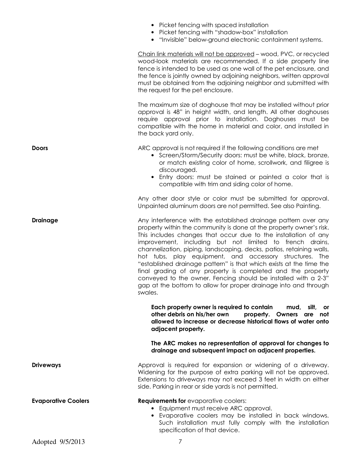|                            | • Picket fencing with spaced installation<br>• Picket fencing with "shadow-box" installation<br>"Invisible" below-ground electronic containment systems.                                                                                                                                                                                                                                                                                                                                                                                                                                                                                                                                       |
|----------------------------|------------------------------------------------------------------------------------------------------------------------------------------------------------------------------------------------------------------------------------------------------------------------------------------------------------------------------------------------------------------------------------------------------------------------------------------------------------------------------------------------------------------------------------------------------------------------------------------------------------------------------------------------------------------------------------------------|
|                            | Chain link materials will not be approved - wood, PVC, or recycled<br>wood-look materials are recommended. If a side property line<br>fence is intended to be used as one wall of the pet enclosure, and<br>the fence is jointly owned by adjoining neighbors, written approval<br>must be obtained from the adjoining neighbor and submitted with<br>the request for the pet enclosure.                                                                                                                                                                                                                                                                                                       |
|                            | The maximum size of doghouse that may be installed without prior<br>approval is 48" in height width, and length. All other doghouses<br>require approval prior to installation. Doghouses must be<br>compatible with the home in material and color, and installed in<br>the back yard only.                                                                                                                                                                                                                                                                                                                                                                                                   |
| <b>Doors</b>               | ARC approval is not required if the following conditions are met<br>• Screen/Storm/Security doors: must be white, black, bronze,<br>or match existing color of home, scrollwork, and filigree is<br>discouraged.<br>Entry doors: must be stained or painted a color that is                                                                                                                                                                                                                                                                                                                                                                                                                    |
|                            | compatible with trim and siding color of home.                                                                                                                                                                                                                                                                                                                                                                                                                                                                                                                                                                                                                                                 |
|                            | Any other door style or color must be submitted for approval.<br>Unpainted aluminum doors are not permitted. See also Painting.                                                                                                                                                                                                                                                                                                                                                                                                                                                                                                                                                                |
| <b>Drainage</b>            | Any interference with the established drainage pattern over any<br>property within the community is done at the property owner's risk.<br>This includes changes that occur due to the installation of any<br>improvement, including but not limited to french drains,<br>channelization, piping, landscaping, decks, patios, retaining walls,<br>hot tubs, play equipment, and accessory structures. The<br>"established drainage pattern" is that which exists at the time the<br>final grading of any property is completed and the property<br>conveyed to the owner. Fencing should be installed with a 2-3"<br>gap at the bottom to allow for proper drainage into and through<br>swales. |
|                            | Each property owner is required to contain<br>mud, silt,<br>or<br>other debris on his/her own<br>property. Owners are<br>not<br>allowed to increase or decrease historical flows of water onto<br>adjacent property.                                                                                                                                                                                                                                                                                                                                                                                                                                                                           |
|                            | The ARC makes no representation of approval for changes to<br>drainage and subsequent impact on adjacent properties.                                                                                                                                                                                                                                                                                                                                                                                                                                                                                                                                                                           |
| <b>Driveways</b>           | Approval is required for expansion or widening of a driveway.<br>Widening for the purpose of extra parking will not be approved.<br>Extensions to driveways may not exceed 3 feet in width on either<br>side. Parking in rear or side yards is not permitted.                                                                                                                                                                                                                                                                                                                                                                                                                                  |
| <b>Evaporative Coolers</b> | <b>Requirements for evaporative coolers:</b><br>• Equipment must receive ARC approval.<br>• Evaporative coolers may be installed in back windows.<br>Such installation must fully comply with the installation<br>specification of that device.                                                                                                                                                                                                                                                                                                                                                                                                                                                |
| Adopted 9/5/2013           | 7                                                                                                                                                                                                                                                                                                                                                                                                                                                                                                                                                                                                                                                                                              |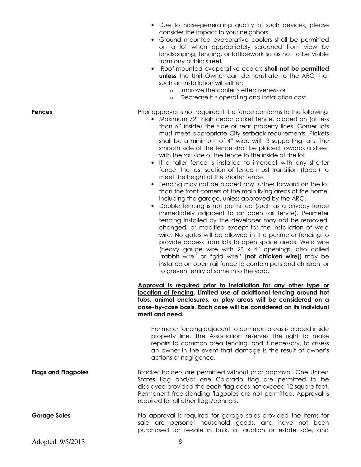- Due to noise-generating quality of such devices, please consider the impact to your neighbors.
- Ground mounted evaporative coolers shall be permitted on a lot when appropriately screened from view by landscaping, fencing, or latticework so as not to be visible from any public street.
- Roof-mounted evaporative coolers **shall not be permitted unless** the Unit Owner can demonstrate to the ARC that such an installation will either:
	- o Improve the cooler's effectiveness or
	- o Decrease it's operating and installation cost.

**Fences** Prior approval is not required if the fence conforms to the following

- Maximum 72" high cedar picket fence, placed on (or less than 6" inside) the side or rear property lines. Corner lots must meet appropriate City setback requirements. Pickets shall be a minimum of 4" wide with 3 supporting rails. The smooth side of the fence shall be placed towards a street with the rail side of the fence to the inside of the lot.
- If a taller fence is installed to intersect with any shorter fence, the last section of fence must transition (taper) to meet the height of the shorter fence.
- Fencing may not be placed any further forward on the lot than the front corners of the main living areas of the home, including the garage, unless approved by the ARC.
- Double fencing is not permitted (such as a privacy fence immediately adjacent to an open rail fence). Perimeter fencing installed by the developer may not be removed, changed, or modified except for the installation of weld wire. No gates will be allowed in the perimeter fencing to provide access from lots to open space areas. Weld wire (heavy gauge wire with 2" x 4" openings, also called "rabbit wire" or "grid wire" [**not chicken wire**]) may be installed on open rail fence to contain pets and children, or to prevent entry of same into the yard.

**Approval is required prior to installation for any other type or location of fencing. Limited use of additional fencing around hot tubs, animal enclosures, or play areas will be considered on a case-by-case basis. Each case will be considered on its individual merit and need.** 

Perimeter fencing adjacent to common areas is placed inside property line. The Association reserves the right to make repairs to common area fencing, and if necessary, to assess an owner in the event that damage is the result of owner's actions or negligence.

**Flags and Flagpoles Bracket holders are permitted without prior approval. One United** States flag and/or one Colorado flag are permitted to be displayed provided the each flag does not exceed 12 square feet. Permanent free-standing flagpoles are not permitted. Approval is required for all other flags/banners.

**Garage Sales No approval is required for garage sales provided the items for** sale are personal household goods, and have not been purchased for re-sale in bulk, at auction or estate sale, and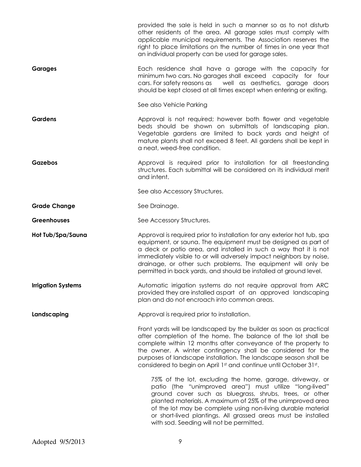|                           | provided the sale is held in such a manner so as to not disturb<br>other residents of the area. All garage sales must comply with<br>applicable municipal requirements. The Association reserves the<br>right to place limitations on the number of times in one year that<br>an individual property can be used for garage sales.                                                                                         |
|---------------------------|----------------------------------------------------------------------------------------------------------------------------------------------------------------------------------------------------------------------------------------------------------------------------------------------------------------------------------------------------------------------------------------------------------------------------|
| <b>Garages</b>            | Each residence shall have a garage with the capacity for<br>minimum two cars. No garages shall exceed capacity for four<br>cars. For safety reasons as well as aesthetics, garage doors<br>should be kept closed at all times except when entering or exiting.                                                                                                                                                             |
|                           | See also Vehicle Parking                                                                                                                                                                                                                                                                                                                                                                                                   |
| <b>Gardens</b>            | Approval is not required; however both flower and vegetable<br>beds should be shown on submittals of landscaping plan.<br>Vegetable gardens are limited to back yards and height of<br>mature plants shall not exceed 8 feet. All gardens shall be kept in<br>a neat, weed-free condition.                                                                                                                                 |
| Gazebos                   | Approval is required prior to installation for all freestanding<br>structures. Each submittal will be considered on its individual merit<br>and intent.                                                                                                                                                                                                                                                                    |
|                           | See also Accessory Structures.                                                                                                                                                                                                                                                                                                                                                                                             |
| <b>Grade Change</b>       | See Drainage.                                                                                                                                                                                                                                                                                                                                                                                                              |
| <b>Greenhouses</b>        | See Accessory Structures.                                                                                                                                                                                                                                                                                                                                                                                                  |
| Hot Tub/Spa/Sauna         | Approval is required prior to installation for any exterior hot tub, spa<br>equipment, or sauna. The equipment must be designed as part of<br>a deck or patio area, and installed in such a way that it is not<br>immediately visible to or will adversely impact neighbors by noise,<br>drainage, or other such problems. The equipment will only be<br>permitted in back yards, and should be installed at ground level. |
| <b>Irrigation Systems</b> | Automatic irrigation systems do not require approval from ARC<br>provided they are installed aspart of an approved landscaping<br>plan and do not encroach into common areas.                                                                                                                                                                                                                                              |
| Landscaping               | Approval is required prior to installation.                                                                                                                                                                                                                                                                                                                                                                                |
|                           | Front yards will be landscaped by the builder as soon as practical<br>after completion of the home. The balance of the lot shall be<br>complete within 12 months after conveyance of the property to<br>the owner. A winter contingency shall be considered for the<br>purposes of landscape installation. The landscape season shall be<br>considered to begin on April 1st and continue until October 31st.              |
|                           | 75% of the lot, excluding the home, garage, driveway, or<br>patio (the "unimproved area") must utilize "long-lived"<br>ground cover such as bluegrass, shrubs, trees, or other<br>planted materials. A maximum of 25% of the unimproved area<br>of the lot may be complete using non-living durable material<br>or short-lived plantings. All grassed areas must be installed<br>with sod. Seeding will not be permitted.  |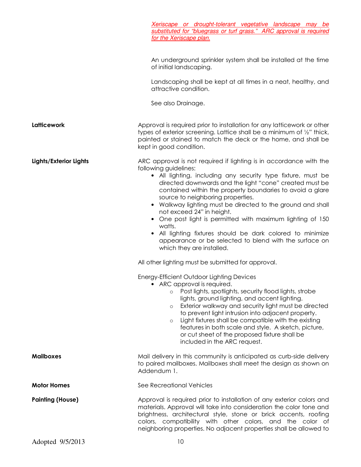|                         | Xeriscape or drought-tolerant vegetative landscape may be<br>substituted for "bluegrass or turf grass." ARC approval is required<br>for the Xeriscape plan.                                                                                                                                                                                                                                                                                                                                                                                                                                                                                                                                             |
|-------------------------|---------------------------------------------------------------------------------------------------------------------------------------------------------------------------------------------------------------------------------------------------------------------------------------------------------------------------------------------------------------------------------------------------------------------------------------------------------------------------------------------------------------------------------------------------------------------------------------------------------------------------------------------------------------------------------------------------------|
|                         | An underground sprinkler system shall be installed at the time<br>of initial landscaping.                                                                                                                                                                                                                                                                                                                                                                                                                                                                                                                                                                                                               |
|                         | Landscaping shall be kept at all times in a neat, healthy, and<br>attractive condition.                                                                                                                                                                                                                                                                                                                                                                                                                                                                                                                                                                                                                 |
|                         | See also Drainage.                                                                                                                                                                                                                                                                                                                                                                                                                                                                                                                                                                                                                                                                                      |
| Latticework             | Approval is required prior to installation for any lattice work or other<br>types of exterior screening. Lattice shall be a minimum of 1/2" thick,<br>painted or stained to match the deck or the home, and shall be<br>kept in good condition.                                                                                                                                                                                                                                                                                                                                                                                                                                                         |
| Lights/Exterior Lights  | ARC approval is not required if lighting is in accordance with the<br>following guidelines:<br>• All lighting, including any security type fixture, must be<br>directed downwards and the light "cone" created must be<br>contained within the property boundaries to avoid a glare<br>source to neighboring properties.<br>• Walkway lighting must be directed to the ground and shall<br>not exceed 24" in height.<br>• One post light is permitted with maximum lighting of 150<br>watts.<br>• All lighting fixtures should be dark colored to minimize<br>appearance or be selected to blend with the surface on<br>which they are installed.<br>All other lighting must be submitted for approval. |
|                         | Energy-Efficient Outdoor Lighting Devices<br>• ARC approval is required.<br>Post lights, spotlights, security flood lights, strobe<br>$\circ$<br>lights, ground lighting, and accent lighting.<br>Exterior walkway and security light must be directed<br>$\circ$<br>to prevent light intrusion into adjacent property.<br>Light fixtures shall be compatible with the existing<br>$\circ$<br>features in both scale and style. A sketch, picture,<br>or cut sheet of the proposed fixture shall be<br>included in the ARC request.                                                                                                                                                                     |
| <b>Mailboxes</b>        | Mail delivery in this community is anticipated as curb-side delivery<br>to paired mailboxes. Mailboxes shall meet the design as shown on<br>Addendum 1.                                                                                                                                                                                                                                                                                                                                                                                                                                                                                                                                                 |
| <b>Motor Homes</b>      | See Recreational Vehicles                                                                                                                                                                                                                                                                                                                                                                                                                                                                                                                                                                                                                                                                               |
| <b>Painting (House)</b> | Approval is required prior to installation of any exterior colors and<br>materials. Approval will take into consideration the color tone and<br>brightness, architectural style, stone or brick accents, roofing<br>colors, compatibility with other colors, and the color of<br>neighboring properties. No adjacent properties shall be allowed to                                                                                                                                                                                                                                                                                                                                                     |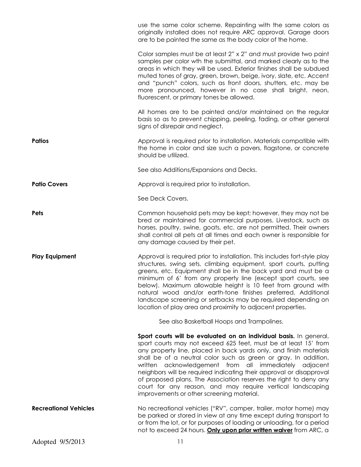|                              | use the same color scheme. Repainting with the same colors as<br>originally installed does not require ARC approval. Garage doors<br>are to be painted the same as the body color of the home.                                                                                                                                                                                                                                                                                                                                                                                                 |
|------------------------------|------------------------------------------------------------------------------------------------------------------------------------------------------------------------------------------------------------------------------------------------------------------------------------------------------------------------------------------------------------------------------------------------------------------------------------------------------------------------------------------------------------------------------------------------------------------------------------------------|
|                              | Color samples must be at least 2" x 2" and must provide two paint<br>samples per color wth the submittal, and marked clearly as to the<br>areas in which they will be used. Exterior finishes shall be subdued<br>muted tones of gray, green, brown, beige, ivory, slate, etc. Accent<br>and "punch" colors, such as front doors, shutters, etc. may be<br>more pronounced, however in no case shall bright, neon,<br>fluorescent, or primary tones be allowed.                                                                                                                                |
|                              | All homes are to be painted and/or maintained on the regular<br>basis so as to prevent chipping, peeling, fading, or other general<br>signs of disrepair and neglect.                                                                                                                                                                                                                                                                                                                                                                                                                          |
| <b>Patios</b>                | Approval is required prior to installation. Materials compatible with<br>the home in color and size such a pavers, flagstone, or concrete<br>should be utilized.                                                                                                                                                                                                                                                                                                                                                                                                                               |
|                              | See also Additions/Expansions and Decks.                                                                                                                                                                                                                                                                                                                                                                                                                                                                                                                                                       |
| <b>Patio Covers</b>          | Approval is required prior to installation.                                                                                                                                                                                                                                                                                                                                                                                                                                                                                                                                                    |
|                              | See Deck Covers.                                                                                                                                                                                                                                                                                                                                                                                                                                                                                                                                                                               |
| Pets                         | Common household pets may be kept; however, they may not be<br>bred or maintained for commercial purposes. Livestock, such as<br>horses, poultry, swine, goats, etc. are not permitted. Their owners<br>shall control all pets at all times and each owner is responsible for<br>any damage caused by their pet.                                                                                                                                                                                                                                                                               |
| <b>Play Equipment</b>        | Approval is required prior to installation. This includes fort-style play<br>structures, swing sets, climbing equipment, sport courts, putting<br>greens, etc. Equipment shall be in the back yard and must be a<br>minimum of 6' from any property line (except sport courts, see<br>below). Maximum allowable height is 10 feet from ground with<br>natural wood and/or earth-tone finishes preferred. Additional<br>landscape screening or setbacks may be required depending on<br>location of play area and proximity to adjacent properties.                                             |
|                              | See also Basketball Hoops and Trampolines.                                                                                                                                                                                                                                                                                                                                                                                                                                                                                                                                                     |
|                              | Sport courts will be evaluated on an individual basis. In general,<br>sport courts may not exceed 625 feet, must be at least 15' from<br>any property line, placed in back yards only, and finish materials<br>shall be of a neutral color such as green or gray. In addition,<br>written acknowledgement from all immediately adjacent<br>neighbors will be required indicating their approval or disapproval<br>of proposed plans. The Association reserves the right to deny any<br>court for any reason, and may require vertical landscaping<br>improvements or other screening material. |
| <b>Recreational Vehicles</b> | No recreational vehicles ("RV", camper, trailer, motor home) may<br>be parked or stored in view at any time except during transport to<br>or from the lot, or for purposes of loading or unloading, for a period<br>not to exceed 24 hours. Only upon prior written waiver from ARC, a                                                                                                                                                                                                                                                                                                         |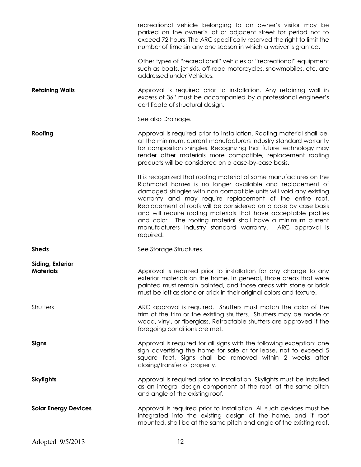|                                      | recreational vehicle belonging to an owner's visitor may be<br>parked on the owner's lot or adjacent street for period not to<br>exceed 72 hours. The ARC specifically reserved the right to limit the<br>number of time sin any one season in which a waiver is granted.                                                                                                                                                                                                                                                                        |
|--------------------------------------|--------------------------------------------------------------------------------------------------------------------------------------------------------------------------------------------------------------------------------------------------------------------------------------------------------------------------------------------------------------------------------------------------------------------------------------------------------------------------------------------------------------------------------------------------|
|                                      | Other types of "recreational" vehicles or "recreational" equipment<br>such as boats, jet skis, off-road motorcycles, snowmobiles, etc. are<br>addressed under Vehicles.                                                                                                                                                                                                                                                                                                                                                                          |
| <b>Retaining Walls</b>               | Approval is required prior to installation. Any retaining wall in<br>excess of 36" must be accompanied by a professional engineer's<br>certificate of structural design.                                                                                                                                                                                                                                                                                                                                                                         |
|                                      | See also Drainage.                                                                                                                                                                                                                                                                                                                                                                                                                                                                                                                               |
| Roofing                              | Approval is required prior to installation. Roofing material shall be,<br>at the minimum, current manufacturers industry standard warranty<br>for composition shingles. Recognizing that future technology may<br>render other materials more compatible, replacement roofing<br>products will be considered on a case-by-case basis.                                                                                                                                                                                                            |
|                                      | It is recognized that roofing material of some manufactures on the<br>Richmond homes is no longer available and replacement of<br>damaged shingles with non compatible units will void any existing<br>warranty and may require replacement of the entire roof.<br>Replacement of roofs will be considered on a case by case basis<br>and will require roofing materials that have acceptable profiles<br>and color. The roofing material shall have a minimum current<br>manufacturers industry standard warranty. ARC approval is<br>required. |
| <b>Sheds</b>                         | See Storage Structures.                                                                                                                                                                                                                                                                                                                                                                                                                                                                                                                          |
| Siding, Exterior<br><b>Materials</b> | Approval is required prior to installation for any change to any<br>exterior materials on the home. In general, those areas that were<br>painted must remain painted, and those areas with stone or brick<br>must be left as stone or brick in their original colors and texture.                                                                                                                                                                                                                                                                |
| Shutters                             | ARC approval is required. Shutters must match the color of the<br>trim of the trim or the existing shutters. Shutters may be made of<br>wood, vinyl, or fiberglass. Retractable shutters are approved if the<br>foregoing conditions are met.                                                                                                                                                                                                                                                                                                    |
| Signs                                | Approval is required for all signs with the following exception: one<br>sign advertising the home for sale or for lease, not to exceed 5<br>square feet. Signs shall be removed within 2 weeks after<br>closing/transfer of property.                                                                                                                                                                                                                                                                                                            |
| <b>Skylights</b>                     | Approval is required prior to installation. Skylights must be installed<br>as an integral design component of the roof, at the same pitch<br>and angle of the existing roof.                                                                                                                                                                                                                                                                                                                                                                     |
| <b>Solar Energy Devices</b>          | Approval is required prior to installation. All such devices must be<br>integrated into the existing design of the home, and if roof<br>mounted, shall be at the same pitch and angle of the existing roof.                                                                                                                                                                                                                                                                                                                                      |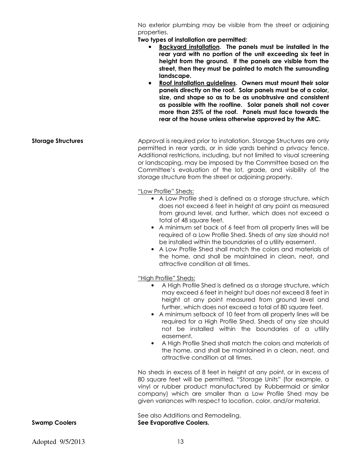No exterior plumbing may be visible from the street or adjoining properties.

**Two types of installation are permitted:** 

- **Backyard installation. The panels must be installed in the rear yard with no portion of the unit exceeding six feet in height from the ground. If the panels are visible from the street, then they must be painted to match the surrounding landscape.**
- **Roof installation guidelines. Owners must mount their solar panels directly on the roof. Solar panels must be of a color, size, and shape so as to be as unobtrusive and consistent as possible with the roofline. Solar panels shall not cover more than 25% of the roof. Panels must face towards the rear of the house unless otherwise approved by the ARC.**
- **Storage Structures Approval is required prior to installation. Storage Structures are only** permitted in rear yards, or in side yards behind a privacy fence. Additional restrictions, including, but not limited to visual screening or landscaping, may be imposed by the Committee based on the Committee's evaluation of the lot, grade, and visibility of the storage structure from the street or adjoining property.

"Low Profile" Sheds:

- A Low Profile shed is defined as a storage structure, which does not exceed 6 feet in height at any point as measured from ground level, and further, which does not exceed a total of 48 square feet.
- A minimum set back of 6 feet from all property lines will be required of a Low Profile Shed. Sheds of any size should not be installed within the boundaries of a utility easement.
- A Low Profile Shed shall match the colors and materials of the home, and shall be maintained in clean, neat, and attractive condition at all times.

"High Profile" Sheds:

- A High Profile Shed is defined as a storage structure, which may exceed 6 feet in height but does not exceed 8 feet in height at any point measured from ground level and further, which does not exceed a total of 80 square feet.
- A minimum setback of 10 feet from all property lines will be required for a High Profile Shed. Sheds of any size should not be installed within the boundaries of a utility easement.
- A High Profile Shed shall match the colors and materials of the home, and shall be maintained in a clean, neat, and attractive condition at all times.

No sheds in excess of 8 feet in height at any point, or in excess of 80 square feet will be permitted. "Storage Units" (for example, a vinyl or rubber product manufactured by Rubbermaid or similar company) which are smaller than a Low Profile Shed may be given variances with respect to location, color, and/or material.

See also Additions and Remodeling. **Swamp Coolers See Evaporative Coolers.**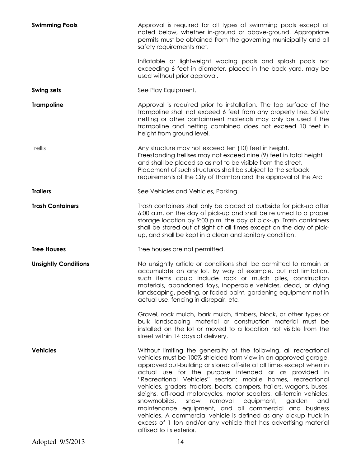| <b>Swimming Pools</b>       | Approval is required for all types of swimming pools except at<br>noted below, whether in-ground or above-ground. Appropriate<br>permits must be obtained from the governing municipality and all<br>safety requirements met.                                                                                                                                                                                                                                                                                                                                                                                                                                                                                                                                                          |
|-----------------------------|----------------------------------------------------------------------------------------------------------------------------------------------------------------------------------------------------------------------------------------------------------------------------------------------------------------------------------------------------------------------------------------------------------------------------------------------------------------------------------------------------------------------------------------------------------------------------------------------------------------------------------------------------------------------------------------------------------------------------------------------------------------------------------------|
|                             | Inflatable or lightweight wading pools and splash pools not<br>exceeding 6 feet in diameter, placed in the back yard, may be<br>used without prior approval.                                                                                                                                                                                                                                                                                                                                                                                                                                                                                                                                                                                                                           |
| <b>Swing sets</b>           | See Play Equipment.                                                                                                                                                                                                                                                                                                                                                                                                                                                                                                                                                                                                                                                                                                                                                                    |
| <b>Trampoline</b>           | Approval is required prior to installation. The top surface of the<br>trampoline shall not exceed 6 feet from any property line. Safety<br>netting or other containment materials may only be used if the<br>trampoline and netting combined does not exceed 10 feet in<br>height from ground level.                                                                                                                                                                                                                                                                                                                                                                                                                                                                                   |
| <b>Trellis</b>              | Any structure may not exceed ten (10) feet in height.<br>Freestanding trellises may not exceed nine (9) feet in total height<br>and shall be placed so as not to be visible from the street.<br>Placement of such structures shall be subject to the setback<br>requirements of the City of Thornton and the approval of the Arc                                                                                                                                                                                                                                                                                                                                                                                                                                                       |
| <b>Trailers</b>             | See Vehicles and Vehicles, Parking.                                                                                                                                                                                                                                                                                                                                                                                                                                                                                                                                                                                                                                                                                                                                                    |
| <b>Trash Containers</b>     | Trash containers shall only be placed at curbside for pick-up after<br>6:00 a.m. on the day of pick-up and shall be returned to a proper<br>storage location by 9:00 p.m. the day of pick-up. Trash containers<br>shall be stored out of sight at all times except on the day of pick-<br>up, and shall be kept in a clean and sanitary condition.                                                                                                                                                                                                                                                                                                                                                                                                                                     |
| <b>Tree Houses</b>          | Tree houses are not permitted.                                                                                                                                                                                                                                                                                                                                                                                                                                                                                                                                                                                                                                                                                                                                                         |
| <b>Unsightly Conditions</b> | No unsightly article or conditions shall be permitted to remain or<br>accumulate on any lot. By way of example, but not limitation,<br>such items could include rock or mulch piles, construction<br>materials, abandoned toys, inoperable vehicles, dead, or dying<br>landscaping, peeling, or faded paint, gardening equipment not in<br>actual use, fencing in disrepair, etc.                                                                                                                                                                                                                                                                                                                                                                                                      |
|                             | Gravel, rock mulch, bark mulch, timbers, block, or other types of<br>bulk landscaping material or construction material must be<br>installed on the lot or moved to a location not visible from the<br>street within 14 days of delivery.                                                                                                                                                                                                                                                                                                                                                                                                                                                                                                                                              |
| <b>Vehicles</b>             | Without limiting the generality of the following, all recreational<br>vehicles must be 100% shielded from view in an approved garage,<br>approved out-building or stored off-site at all times except when in<br>actual use for the purpose intended or as provided in<br>"Recreational Vehicles" section: mobile homes, recreational<br>vehicles, graders, tractors, boats, campers, trailers, wagons, buses,<br>sleighs, off-road motorcycles, motor scooters, all-terrain vehicles,<br>snowmobiles,<br>snow<br>removal<br>equipment,<br>and<br>garden<br>maintenance equipment, and all commercial and business<br>vehicles. A commercial vehicle is defined as any pickup truck in<br>excess of 1 ton and/or any vehicle that has advertising material<br>affixed to its exterior. |